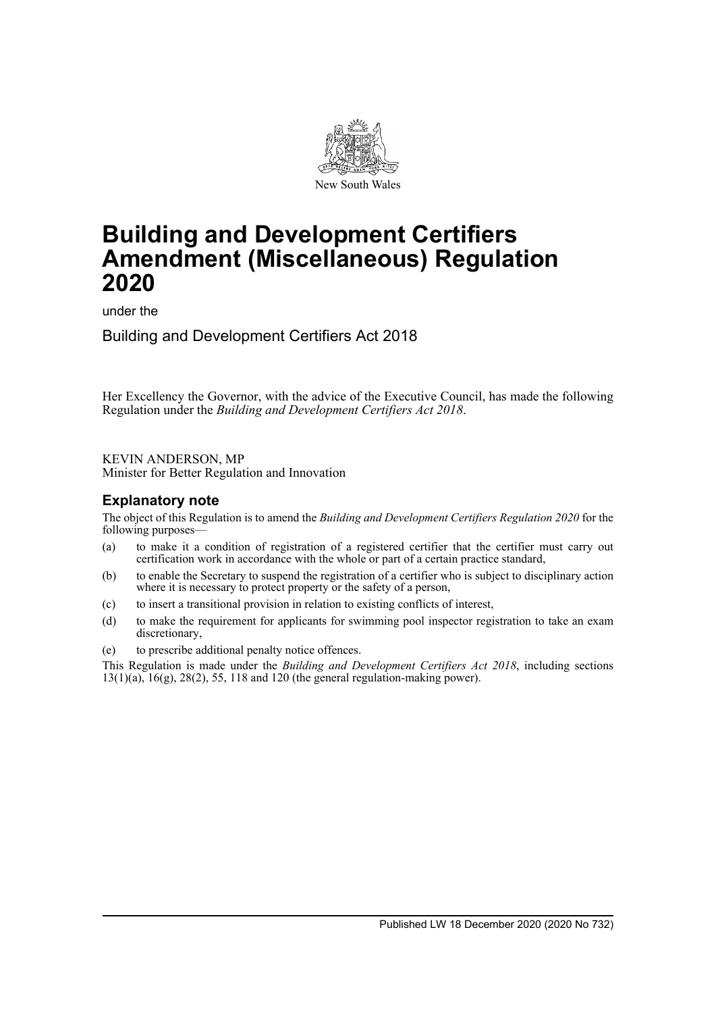

# **Building and Development Certifiers Amendment (Miscellaneous) Regulation 2020**

under the

Building and Development Certifiers Act 2018

Her Excellency the Governor, with the advice of the Executive Council, has made the following Regulation under the *Building and Development Certifiers Act 2018*.

KEVIN ANDERSON, MP

Minister for Better Regulation and Innovation

# **Explanatory note**

The object of this Regulation is to amend the *Building and Development Certifiers Regulation 2020* for the following purposes—

- (a) to make it a condition of registration of a registered certifier that the certifier must carry out certification work in accordance with the whole or part of a certain practice standard,
- (b) to enable the Secretary to suspend the registration of a certifier who is subject to disciplinary action where it is necessary to protect property or the safety of a person,
- (c) to insert a transitional provision in relation to existing conflicts of interest,
- (d) to make the requirement for applicants for swimming pool inspector registration to take an exam discretionary,
- (e) to prescribe additional penalty notice offences.

This Regulation is made under the *Building and Development Certifiers Act 2018*, including sections 13(1)(a), 16(g), 28(2), 55, 118 and 120 (the general regulation-making power).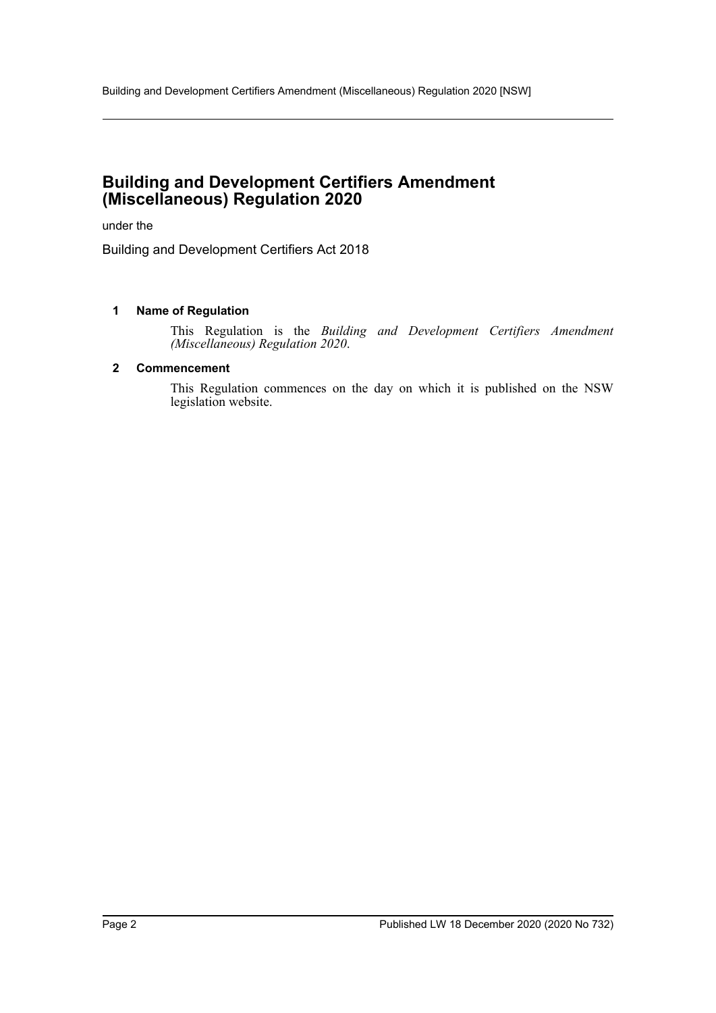# **Building and Development Certifiers Amendment (Miscellaneous) Regulation 2020**

under the

Building and Development Certifiers Act 2018

#### **1 Name of Regulation**

This Regulation is the *Building and Development Certifiers Amendment (Miscellaneous) Regulation 2020*.

#### **2 Commencement**

This Regulation commences on the day on which it is published on the NSW legislation website.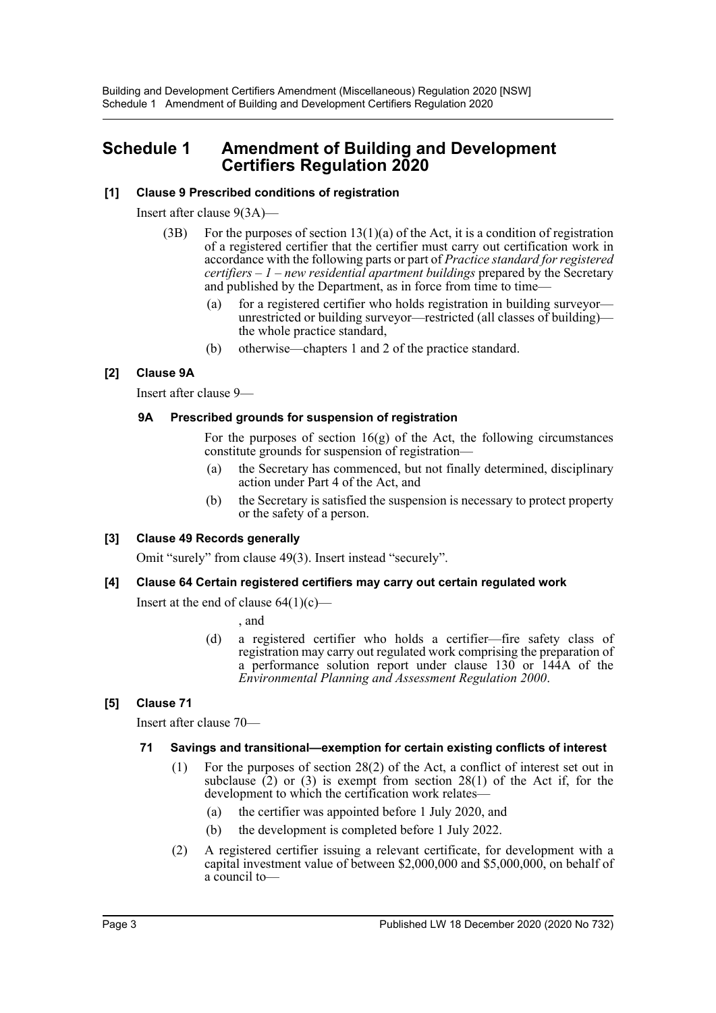# **Schedule 1 Amendment of Building and Development Certifiers Regulation 2020**

# **[1] Clause 9 Prescribed conditions of registration**

Insert after clause 9(3A)—

- (3B) For the purposes of section  $13(1)(a)$  of the Act, it is a condition of registration of a registered certifier that the certifier must carry out certification work in accordance with the following parts or part of *Practice standard for registered certifiers – 1 – new residential apartment buildings* prepared by the Secretary and published by the Department, as in force from time to time—
	- (a) for a registered certifier who holds registration in building surveyor unrestricted or building surveyor—restricted (all classes of building) the whole practice standard,
	- (b) otherwise—chapters 1 and 2 of the practice standard.

# **[2] Clause 9A**

Insert after clause 9—

# **9A Prescribed grounds for suspension of registration**

For the purposes of section  $16(g)$  of the Act, the following circumstances constitute grounds for suspension of registration—

- (a) the Secretary has commenced, but not finally determined, disciplinary action under Part 4 of the Act, and
- (b) the Secretary is satisfied the suspension is necessary to protect property or the safety of a person.

## **[3] Clause 49 Records generally**

Omit "surely" from clause 49(3). Insert instead "securely".

## **[4] Clause 64 Certain registered certifiers may carry out certain regulated work**

Insert at the end of clause  $64(1)(c)$ —

, and

(d) a registered certifier who holds a certifier—fire safety class of registration may carry out regulated work comprising the preparation of a performance solution report under clause 130 or 144A of the *Environmental Planning and Assessment Regulation 2000*.

## **[5] Clause 71**

Insert after clause 70—

## **71 Savings and transitional—exemption for certain existing conflicts of interest**

- (1) For the purposes of section 28(2) of the Act, a conflict of interest set out in subclause  $(2)$  or  $(3)$  is exempt from section  $28(1)$  of the Act if, for the development to which the certification work relates—
	- (a) the certifier was appointed before 1 July 2020, and
	- (b) the development is completed before 1 July 2022.
- (2) A registered certifier issuing a relevant certificate, for development with a capital investment value of between \$2,000,000 and \$5,000,000, on behalf of a council to—